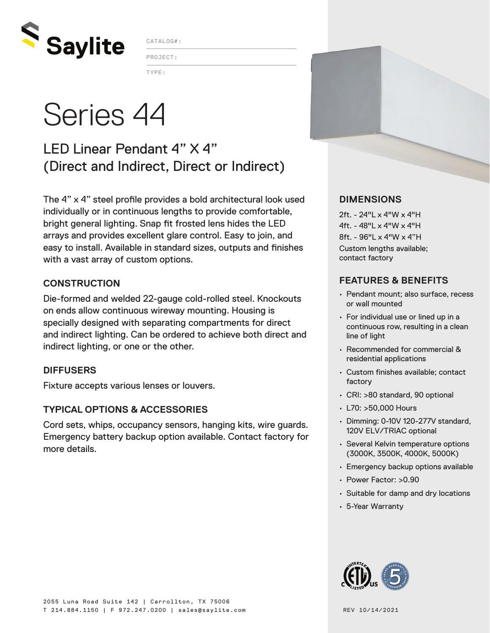

CATALOG#:

TYPE: PROJECT:

# Series 44

### LED Linear Pendant 4" X 4" (Direct and Indirect, Direct or Indirect)

The 4" x 4" steel profile provides a bold architectural look used individually or in continuous lengths to provide comfortable, bright general lighting. Snap fit frosted lens hides the LED arrays and provides excellent glare control. Easy to join, and easy to install. Available in standard sizes, outputs and finishes with a vast array of custom options.

#### **CONSTRUCTION**

Die-formed and welded 22-gauge cold-rolled steel. Knockouts on ends allow continuous wireway mounting. Housing is specially designed with separating compartments for direct and indirect lighting. Can be ordered to achieve both direct and indirect lighting, or one or the other.

#### **DIFFUSERS**

Fixture accepts various lenses or louvers.

#### **TYPICAL OPTIONS & ACCESSORIES**

Cord sets, whips, occupancy sensors, hanging kits, wire guards. Emergency battery backup option available. Contact factory for more details.



#### **DIMENSIONS**

2ft. - 24"L x 4"W x 4"H 4ft. - 48"L x 4"W x 4"H 8ft. - 96"L x 4"W x 4"H Custom lengths available; contact factory

#### **FEATURES & BENEFITS**

- Pendant mount; also surface, recess or wall mounted
- For individual use or lined up in a continuous row, resulting in a clean line of light
- Recommended for commercial & residential applications
- Custom finishes available; contact factory
- CRI: >80 standard, 90 optional
- L70: >50,000 Hours
- Dimming: 0-10V 120-277V standard, 120V ELV/TRIAC optional
- Several Kelvin temperature options (3000K, 3500K, 4000K, 5000K)
- Emergency backup options available
- Power Factor: >0.90
- Suitable for damp and dry locations
- 5-Year Warranty

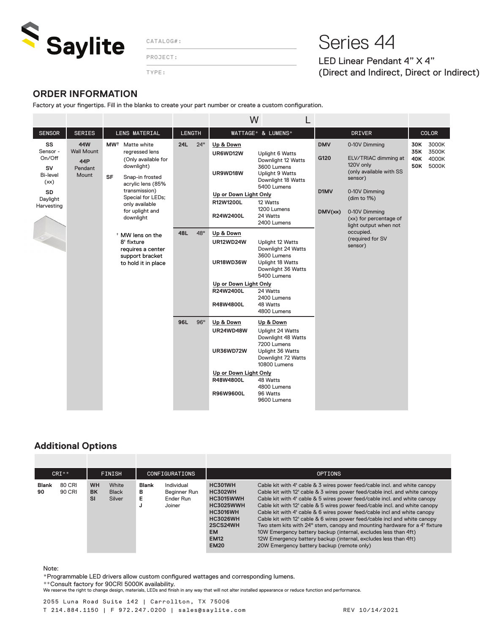

PROJECT:

TYPE:

## CATALOG#: Series 44

LED Linear Pendant 4" X 4" (Direct and Indirect, Direct or Indirect)

#### **ORDER INFORMATION**

Factory at your fingertips. Fill in the blanks to create your part number or create a custom configuration.

|                                                                                                  |                                                            |                                                                                                                                                                                                                                                                                                                                  |                                 |                   | W                                                                                                                                                                                                                                                                                      |                                                                                                                                                                                                                                                                                                                                                                                                                                                                                                                                         |                                       |                                                                                                                                                                                                                                          |                          |                                  |
|--------------------------------------------------------------------------------------------------|------------------------------------------------------------|----------------------------------------------------------------------------------------------------------------------------------------------------------------------------------------------------------------------------------------------------------------------------------------------------------------------------------|---------------------------------|-------------------|----------------------------------------------------------------------------------------------------------------------------------------------------------------------------------------------------------------------------------------------------------------------------------------|-----------------------------------------------------------------------------------------------------------------------------------------------------------------------------------------------------------------------------------------------------------------------------------------------------------------------------------------------------------------------------------------------------------------------------------------------------------------------------------------------------------------------------------------|---------------------------------------|------------------------------------------------------------------------------------------------------------------------------------------------------------------------------------------------------------------------------------------|--------------------------|----------------------------------|
| <b>SENSOR</b>                                                                                    | <b>SERIES</b>                                              | <b>LENS MATERIAL</b>                                                                                                                                                                                                                                                                                                             | <b>LENGTH</b>                   |                   |                                                                                                                                                                                                                                                                                        | WATTAGE* & LUMENS*                                                                                                                                                                                                                                                                                                                                                                                                                                                                                                                      | <b>DRIVER</b>                         |                                                                                                                                                                                                                                          | <b>COLOR</b>             |                                  |
| SS<br>Sensor -<br>On/Off<br><b>SV</b><br>Bi-level<br>(xx)<br><b>SD</b><br>Daylight<br>Harvesting | 44W<br><b>Wall Mount</b><br><b>44P</b><br>Pendant<br>Mount | MW <sup>†</sup> Matte white<br>rearessed lens<br>(Only available for<br>downlight)<br><b>SF</b><br>Snap-in frosted<br>acrylic lens (85%<br>transmission)<br>Special for LEDs;<br>only available<br>for uplight and<br>downlight<br>* MW lens on the<br>8' fixture<br>requires a center<br>support bracket<br>to hold it in place | <b>24L</b><br><b>48L</b><br>96L | 24"<br>48"<br>96" | Up & Down<br>UR6WD12W<br>UR9WD18W<br>Up or Down Light Only<br>R12W1200L<br>R24W2400L<br>Up & Down<br>UR12WD24W<br>UR18WD36W<br>Up or Down Light Only<br>R24W2400L<br>R48W4800L<br>Up & Down<br><b>UR24WD48W</b><br><b>UR36WD72W</b><br>Up or Down Light Only<br>R48W4800L<br>R96W9600L | Uplight 6 Watts<br>Downlight 12 Watts<br>3600 Lumens<br>Uplight 9 Watts<br>Downlight 18 Watts<br>5400 Lumens<br>12 Watts<br>1200 Lumens<br>24 Watts<br>2400 Lumens<br>Uplight 12 Watts<br>Downlight 24 Watts<br>3600 Lumens<br><b>Uplight 18 Watts</b><br>Downlight 36 Watts<br>5400 Lumens<br>24 Watts<br>2400 Lumens<br>48 Watts<br>4800 Lumens<br>Up & Down<br>Uplight 24 Watts<br>Downlight 48 Watts<br>7200 Lumens<br>Uplight 36 Watts<br>Downlight 72 Watts<br>10800 Lumens<br>48 Watts<br>4800 Lumens<br>96 Watts<br>9600 Lumens | <b>DMV</b><br>G120<br>D1MV<br>DMV(xx) | 0-10V Dimming<br>ELV/TRIAC dimming at<br>120V only<br>(only available with SS<br>sensor)<br>0-10V Dimming<br>(dim to 1%)<br>0-10V Dimming<br>(xx) for percentage of<br>light output when not<br>occupied.<br>(required for SV<br>sensor) | 30K<br>35K<br>40K<br>50K | 3000K<br>3500K<br>4000K<br>5000K |

#### **Additional Options**

| $CRI**$            |                  | <b>FINISH</b>                       |                                 | <b>CONFIGURATIONS</b>       |                                                   | <b>OPTIONS</b>                                                                                                                                                 |                                                                                                                                                                                                                                                                                                                                                                                                                                                                                                                                                                                                                                                                                                                                               |  |  |  |
|--------------------|------------------|-------------------------------------|---------------------------------|-----------------------------|---------------------------------------------------|----------------------------------------------------------------------------------------------------------------------------------------------------------------|-----------------------------------------------------------------------------------------------------------------------------------------------------------------------------------------------------------------------------------------------------------------------------------------------------------------------------------------------------------------------------------------------------------------------------------------------------------------------------------------------------------------------------------------------------------------------------------------------------------------------------------------------------------------------------------------------------------------------------------------------|--|--|--|
| <b>Blank</b><br>90 | 80 CRI<br>90 CRI | <b>WH</b><br><b>BK</b><br><b>SI</b> | White<br><b>Black</b><br>Silver | <b>Blank</b><br>в<br>Е<br>w | Individual<br>Beginner Run<br>Ender Run<br>Joiner | HC301WH<br><b>HC302WH</b><br><b>HC3015WWH</b><br><b>HC3025WWH</b><br><b>HC3016WH</b><br><b>HC3026WH</b><br>2SCS24WH<br><b>EM</b><br><b>EM12</b><br><b>EM20</b> | Cable kit with 4' cable & 3 wires power feed/cable incl. and white canopy<br>Cable kit with 12' cable & 3 wires power feed/cable incl. and white canopy<br>Cable kit with 4' cable & 5 wires power feed/cable incl. and white canopy<br>Cable kit with 12' cable & 5 wires power feed/cable incl. and white canopy<br>Cable kit with 4' cable & 6 wires power feed/cable incl and white canopy<br>Cable kit with 12' cable & 6 wires power feed/cable incl and white canopy<br>Two stem kits with 24" stem, canopy and mounting hardware for a 4' fixture<br>10W Emergency battery backup (internal, excludes less than 4ft)<br>12W Emergency battery backup (internal, excludes less than 4ft)<br>20W Emergency battery backup (remote only) |  |  |  |

#### Note:

\*Programmable LED drivers allow custom configured wattages and corresponding lumens.

\*\*Consult factory for 90CRI 5000K availability.

We reserve the right to change design, materials, LEDs and finish in any way that will not alter installed appearance or reduce function and performance.